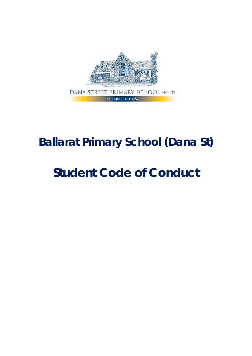

# **Ballarat Primary School (Dana St)**

# **Student Code of Conduct**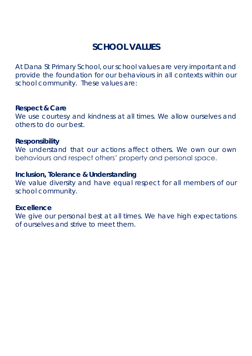# **SCHOOL VALUES**

At Dana St Primary School, our school values are very important and provide the foundation for our behaviours in all contexts within our school community. These values are:

**Respect & Care** We use courtesy and kindness at all times. We allow ourselves and others to do our best.

**Responsibility**  We understand that our actions affect others. We own our own behaviours and respect others' property and personal space.

**Inclusion, Tolerance & Understanding**  We value diversity and have equal respect for all members of our school community.

**Excellence** We give our personal best at all times. We have high expectations of ourselves and strive to meet them.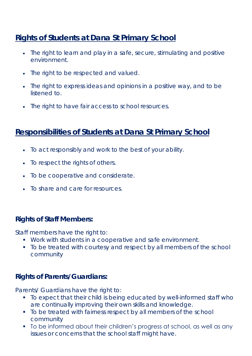# **Rights of Students at Dana St Primary School**

- The right to learn and play in a safe, secure, stimulating and positive environment.
- The right to be respected and valued.
- The right to express ideas and opinions in a positive way, and to be listened to.
- The right to have fair access to school resources.

# **Responsibilities of Students at Dana St Primary School**

- To act responsibly and work to the best of your ability.
- To respect the rights of others.
- To be cooperative and considerate.
- To share and care for resources.

#### **Rights of Staff Members:**

Staff members have the right to:

- Work with students in a cooperative and safe environment.
- To be treated with courtesy and respect by all members of the school community

#### **Rights of Parents/Guardians:**

Parents/ Guardians have the right to:

- To expect that their child is being educated by well-informed staff who are continually improving their own skills and knowledge.
- To be treated with fairness respect by all members of the school community
- To be informed about their children's progress at school, as well as any issues or concerns that the school staff might have.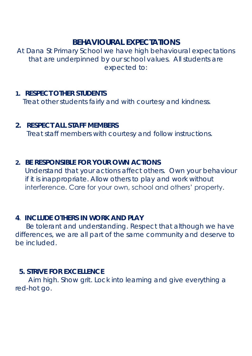### **BEHAVIOURAL EXPECTATIONS**

At Dana St Primary School we have high behavioural expectations that are underpinned by our school values. All students are expected to:

- **1. RESPECT OTHER STUDENTS** Treat other students fairly and with courtesy and kindness.
- **2. RESPECT ALL STAFF MEMBERS** Treat staff members with courtesy and follow instructions.
- **2. BE RESPONSIBLE FOR YOUR OWN ACTIONS** Understand that your actions affect others. Own your behaviour if it is inappropriate. Allow others to play and work without interference. Care for your own, school and others' property.
- **4**. **INCLUDE OTHERS IN WORK AND PLAY**

Be tolerant and understanding. Respect that although we have differences, we are all part of the same community and deserve to be included.

 **5. STRIVE FOR EXCELLENCE**

 Aim high. Show grit. Lock into learning and give everything a red-hot go.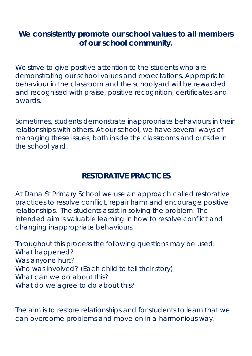**We consistently promote our school values to all members of our school community.**

We strive to give positive attention to the students who are demonstrating our school values and expectations. Appropriate behaviour in the classroom and the schoolyard will be rewarded and recognised with praise, positive recognition, certificates and awards.

Sometimes, students demonstrate inappropriate behaviours in their relationships with others. At our school, we have several ways of managing these issues, both inside the classrooms and outside in the school yard.

# **RESTORATIVE PRACTICES**

At Dana St Primary School we use an approach called restorative practices to resolve conflict, repair harm and encourage positive relationships. The students assist in solving the problem. The intended aim is valuable learning in how to resolve conflict and changing inappropriate behaviours.

Throughout this process the following questions may be used: What happened? Was anyone hurt? Who was involved? (Each child to tell their story) What can we do about this? What do we agree to do about this?

The aim is to restore relationships and for students to learn that we can overcome problems and move on in a harmonious way.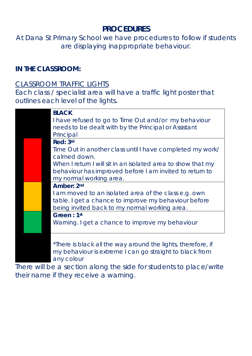### **PROCEDURES**

At Dana St Primary School we have procedures to follow if students are displaying inappropriate behaviour.

**IN THE CLASSROOM:**

#### *CLASSROOM TRAFFIC LIGHTS*

Each class / specialist area will have a traffic light poster that outlines each level of the lights.

|                 | <b>BLACK</b>                                                                                                                                                                                                                    |
|-----------------|---------------------------------------------------------------------------------------------------------------------------------------------------------------------------------------------------------------------------------|
|                 | I have refused to go to Time Out and/or my behaviour                                                                                                                                                                            |
|                 | needs to be dealt with by the Principal or Assistant                                                                                                                                                                            |
|                 | Principal                                                                                                                                                                                                                       |
|                 | Red: 3rd                                                                                                                                                                                                                        |
|                 | Time Out in another class until I have completed my work/                                                                                                                                                                       |
|                 | calmed down.                                                                                                                                                                                                                    |
|                 | When I return I will sit in an isolated area to show that my                                                                                                                                                                    |
|                 | behaviour has improved before I am invited to return to                                                                                                                                                                         |
|                 | my normal working area.                                                                                                                                                                                                         |
|                 | Amber: 2nd                                                                                                                                                                                                                      |
|                 | I am moved to an isolated area of the class e.g. own                                                                                                                                                                            |
|                 | table. I get a chance to improve my behaviour before                                                                                                                                                                            |
|                 | being invited back to my normal working area.                                                                                                                                                                                   |
|                 | Green: 1st                                                                                                                                                                                                                      |
|                 | Warning. I get a chance to improve my behaviour                                                                                                                                                                                 |
|                 |                                                                                                                                                                                                                                 |
|                 |                                                                                                                                                                                                                                 |
|                 | *There is black all the way around the lights, therefore, if                                                                                                                                                                    |
|                 | my behaviour is extreme I can go straight to black from                                                                                                                                                                         |
|                 | any colour                                                                                                                                                                                                                      |
| <b>ALL 1000</b> | $\sim$ 1. The state of the contract of the contract of the contract of the contract of the contract of the contract of the contract of the contract of the contract of the contract of the contract of the contract of the cont |

There will be a section along the side for students to place/write their name if they receive a warning.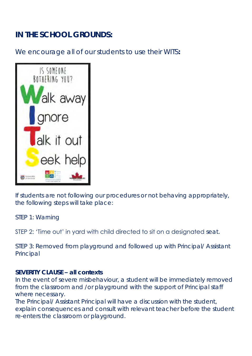# **IN THE SCHOOL GROUNDS:**

We encourage all of our students to use their WITS:



If students are not following our procedures or not behaving appropriately, the following steps will take place:

STEP 1: Warning

STEP 2: 'Time out' in yard with child directed to sit on a designated seat.

STEP 3: Removed from playground and followed up with Principal/ Assistant Principal

#### **SEVERITY CLAUSE – all contexts**

In the event of severe misbehaviour, a student will be immediately removed from the classroom and /or playground with the support of Principal staff where necessary.

The Principal/ Assistant Principal will have a discussion with the student, explain consequences and consult with relevant teacher before the student re-enters the classroom or playground.